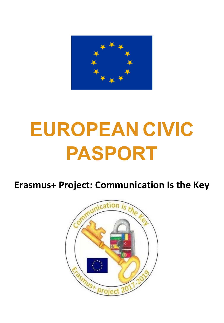

## **EUROPEAN CIVIC PASPORT**

**Erasmus+ Project: Communication Is the Key**

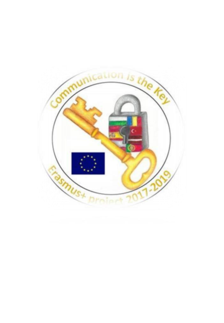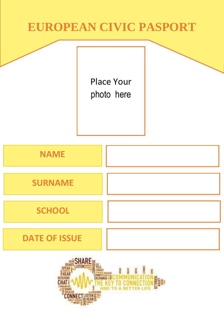#### **EUROPEAN CIVIC PASPORT**

Place Your photo here

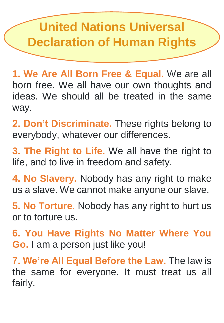### **United Nations Universal Declaration of Human Rights**

**1. We Are All Born Free & Equal.** We are all born free. We all have our own thoughts and ideas. We should all be treated in the same way.

**2. Don't Discriminate.** These rights belong to everybody, whatever our differences.

**3. The Right to Life.** We all have the right to life, and to live in freedom and safety.

**4. No Slavery.** Nobody has any right to make us a slave. We cannot make anyone our slave.

**5. No Torture**. Nobody has any right to hurt us or to torture us.

**6. You Have Rights No Matter Where You Go.** I am a person just like you!

**7. We're All Equal Before the Law.** The law is the same for everyone. It must treat us all fairly.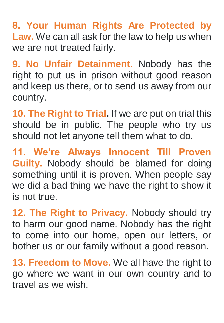**8. Your Human Rights Are Protected by Law.** We can all ask for the law to help us when we are not treated fairly.

**9. No Unfair Detainment.** Nobody has the right to put us in prison without good reason and keep us there, or to send us away from our country.

**10. The Right to Trial.** If we are put on trial this should be in public. The people who try us should not let anyone tell them what to do.

**11. We're Always Innocent Till Proven Guilty.** Nobody should be blamed for doing something until it is proven. When people say we did a bad thing we have the right to show it is not true.

**12. The Right to Privacy.** Nobody should try to harm our good name. Nobody has the right to come into our home, open our letters, or bother us or our family without a good reason.

**13. Freedom to Move.** We all have the right to go where we want in our own country and to travel as we wish.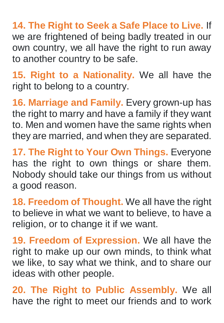**14. The Right to Seek a Safe Place to Live.** If we are frightened of being badly treated in our own country, we all have the right to run away to another country to be safe.

**15. Right to a Nationality.** We all have the right to belong to a country.

**16. Marriage and Family.** Every grown-up has the right to marry and have a family if they want to. Men and women have the same rights when they are married, and when they are separated.

**17. The Right to Your Own Things.** Everyone has the right to own things or share them. Nobody should take our things from us without a good reason.

**18. Freedom of Thought.** We all have the right to believe in what we want to believe, to have a religion, or to change it if we want.

**19. Freedom of Expression.** We all have the right to make up our own minds, to think what we like, to say what we think, and to share our ideas with other people.

**20. The Right to Public Assembly.** We all have the right to meet our friends and to work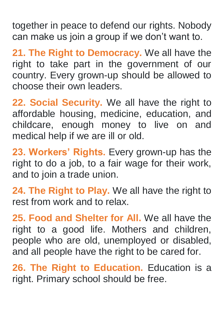together in peace to defend our rights. Nobody can make us join a group if we don't want to.

**21. The Right to Democracy.** We all have the right to take part in the government of our country. Every grown-up should be allowed to choose their own leaders.

**22. Social Security.** We all have the right to affordable housing, medicine, education, and childcare, enough money to live on and medical help if we are ill or old.

**23. Workers' Rights.** Every grown-up has the right to do a job, to a fair wage for their work, and to join a trade union.

**24. The Right to Play.** We all have the right to rest from work and to relax.

**25. Food and Shelter for All.** We all have the right to a good life. Mothers and children, people who are old, unemployed or disabled, and all people have the right to be cared for.

**26. The Right to Education.** Education is a right. Primary school should be free.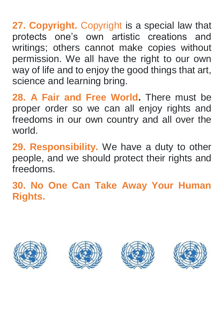**27. Copyright.** Copyright is a special law that protects one's own artistic creations and writings; others cannot make copies without permission. We all have the right to our own way of life and to enjoy the good things that art, science and learning bring.

**28. A Fair and Free World.** There must be proper order so we can all enjoy rights and freedoms in our own country and all over the world.

**29. Responsibility.** We have a duty to other people, and we should protect their rights and freedoms.

**30. No One Can Take Away Your Human Rights.**







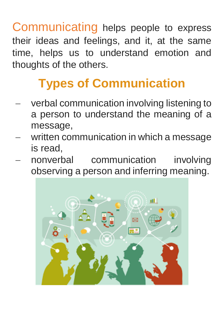Communicating helps people to express their ideas and feelings, and it, at the same time, helps us to understand emotion and thoughts of the others.

## **Types of Communication**

- verbal communication involving listening to a person to understand the meaning of a message,
- written communication in which a message is read,
- nonverbal communication involving observing a person and inferring meaning.

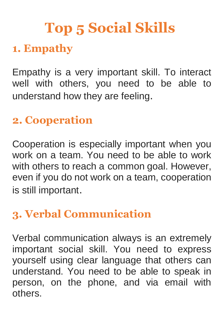# **Top 5 Social Skills**

#### **1. Empathy**

Empathy is a very important skill. To interact well with others, you need to be able to understand how they are feeling.

#### **2. Cooperation**

Cooperation is especially important when you work on a team. You need to be able to work with others to reach a common goal. However, even if you do not work on a team, cooperation is still important.

#### **3. Verbal Communication**

Verbal communication always is an extremely important social skill. You need to express yourself using clear language that others can understand. You need to be able to speak in person, on the phone, and via email with others.